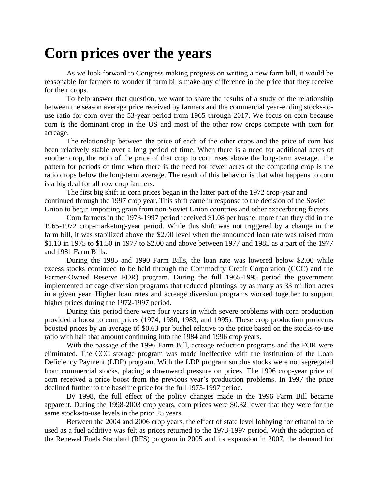## **Corn prices over the years**

As we look forward to Congress making progress on writing a new farm bill, it would be reasonable for farmers to wonder if farm bills make any difference in the price that they receive for their crops.

To help answer that question, we want to share the results of a study of the relationship between the season average price received by farmers and the commercial year-ending stocks-touse ratio for corn over the 53-year period from 1965 through 2017. We focus on corn because corn is the dominant crop in the US and most of the other row crops compete with corn for acreage.

The relationship between the price of each of the other crops and the price of corn has been relatively stable over a long period of time. When there is a need for additional acres of another crop, the ratio of the price of that crop to corn rises above the long-term average. The pattern for periods of time when there is the need for fewer acres of the competing crop is the ratio drops below the long-term average. The result of this behavior is that what happens to corn is a big deal for all row crop farmers.

The first big shift in corn prices began in the latter part of the 1972 crop-year and continued through the 1997 crop year. This shift came in response to the decision of the Soviet Union to begin importing grain from non-Soviet Union countries and other exacerbating factors.

Corn farmers in the 1973-1997 period received \$1.08 per bushel more than they did in the 1965-1972 crop-marketing-year period. While this shift was not triggered by a change in the farm bill, it was stabilized above the \$2.00 level when the announced loan rate was raised from \$1.10 in 1975 to \$1.50 in 1977 to \$2.00 and above between 1977 and 1985 as a part of the 1977 and 1981 Farm Bills.

During the 1985 and 1990 Farm Bills, the loan rate was lowered below \$2.00 while excess stocks continued to be held through the Commodity Credit Corporation (CCC) and the Farmer-Owned Reserve FOR) program. During the full 1965-1995 period the government implemented acreage diversion programs that reduced plantings by as many as 33 million acres in a given year. Higher loan rates and acreage diversion programs worked together to support higher prices during the 1972-1997 period.

During this period there were four years in which severe problems with corn production provided a boost to corn prices (1974, 1980, 1983, and 1995). These crop production problems boosted prices by an average of \$0.63 per bushel relative to the price based on the stocks-to-use ratio with half that amount continuing into the 1984 and 1996 crop years.

With the passage of the 1996 Farm Bill, acreage reduction programs and the FOR were eliminated. The CCC storage program was made ineffective with the institution of the Loan Deficiency Payment (LDP) program. With the LDP program surplus stocks were not segregated from commercial stocks, placing a downward pressure on prices. The 1996 crop-year price of corn received a price boost from the previous year's production problems. In 1997 the price declined further to the baseline price for the full 1973-1997 period.

By 1998, the full effect of the policy changes made in the 1996 Farm Bill became apparent. During the 1998-2003 crop years, corn prices were \$0.32 lower that they were for the same stocks-to-use levels in the prior 25 years.

Between the 2004 and 2006 crop years, the effect of state level lobbying for ethanol to be used as a fuel additive was felt as prices returned to the 1973-1997 period. With the adoption of the Renewal Fuels Standard (RFS) program in 2005 and its expansion in 2007, the demand for